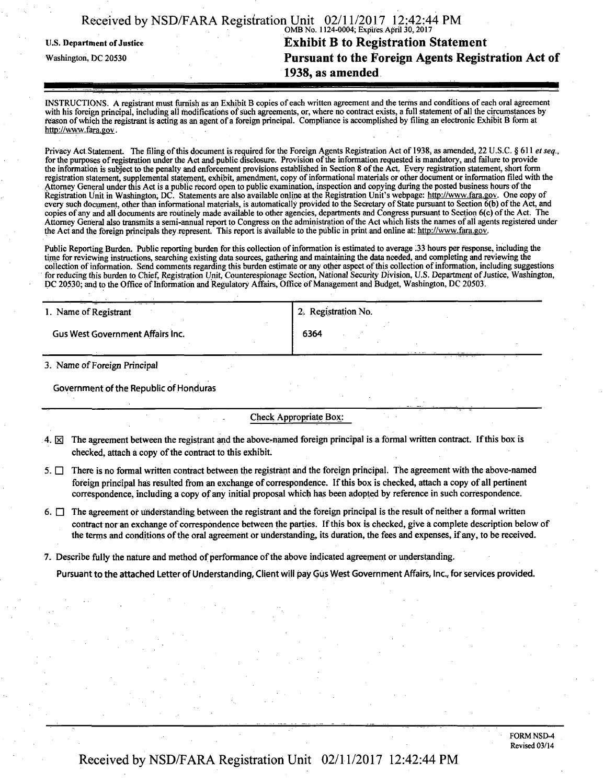|                                                                          | Received by NSD/FARA Registration Unit 02/11/2017 12:42:44 PM |  |  |
|--------------------------------------------------------------------------|---------------------------------------------------------------|--|--|
| <b>Exhibit B to Registration Statement</b><br>U.S. Department of Justice |                                                               |  |  |
| Washington, DC 20530                                                     | Pursuant to the Foreign Agents Registration Act of            |  |  |
|                                                                          | 1938, as amended                                              |  |  |

INSTRUCTIONS. A registrant must furnish as an Exhibit B copies of each written agreement and the terms and conditions of each oral agreement with his foreign principal, including all modifications of such agreements, or, where no contract exists, a full statement of all the circumstances by reason of which the registrant is acting as an agent of a foreign principal. Compliance is accomplished by filing an electronic Exhibit B form at http://www.fara.gov.

Privacy Act Statement. The filing of this document is required for the Foreign Agents Registration Act of 1938, as amended, 22 U.S.C. § 611 et seq., for the purposes of registration under the Act and public disclosure. Provision of the information requested is mandatory, and failure to provide the information is subject to the penalty and enforcement provisions established in Section 8 of the Act. Every registration statement, short form registration statement, supplemental statement, exhibit, amendment, copy of informational materials or other document or information filed with the Attorney General under this Act is a public record open to public examination, inspection and copying during the posted business hours of the Registration Unit in Washington, DC. Statements are also available online at the Registration Unit's webpage: http://www.fara.gov. One copy of every such document, other than informational materials, is automatically provided to tie Secretary of State pursuant to Section 6(b) of the Act, and copies of any and all documents are routinely made available to other agencies, departments and Congress pursuant to Section 6(c) ofthe Act. The Attorney General also transmits a semi-annual report to Congress on the administration of the Act which lists the names of all agents registered under the Act and the foreign principals they represent. This report is available to the public in print and online at: http://www.fara.gov.

Public Reporting Burden. Public reporting burden for this collection of information is estimated to average 133 hours per response, including the time for reviewing instructions, searching existing data sources, gathering and maintaining the data needed, and completing and reviewing the collection of information. Send comments regarding this burden estimate or any other aspect of this collection of information, including suggestions for reducing this burden to Chief, Registration Unit, Counterespionage Section, National Security Division, U.S. Department of Justice, Washington, DC 20530; and to the Office of Information and Regulatory Affairs, Office of Management and Budget, Washington, DC 20503.

| 1. Name of Registrant            | <sup>1</sup> 2. Registration No. |
|----------------------------------|----------------------------------|
| Gus West Government Affairs Inc. | 6364                             |
|                                  | .                                |

3. Name of Foreign Principal

Government of the Republic of Honduras

### Check Appropriate Box:

- 4.  $\boxtimes$  The agreement between the registrant and the above-named foreign principal is a formal written contract. If this box is checked, attach a copy of the contract to this exhibit.
- 5.  $\Box$  There is no formal written contract between the registrant and the foreign principal. The agreement with the above-named foreign principal has resulted from an exchange of correspondence. If this box is checked, attach a copy of all pertinent correspondence, including a copy of any initial proposal which has been adopted by reference in such correspondence.

6.  $\Box$  The agreement or understanding between the registrant and the foreign principal is the result of neither a formal written contract nor an exchange of correspondence between the parties. If this box is checked, give a complete description below of the terms and conditions of the oral agreement or understanding, its duration, the fees and expenses, if any, to be received.

7. Describe fully the nature and method of performance of the above indicated agreement or understanding.

Pursuant to the attached Letter of Understanding, Client will pay Gus West Government Affairs, Inc., for services provided.

FORM NSD-4 Revised 03/14

# Received by NSD/FARA Registration Unit 02/11/2017 12:42:44 PM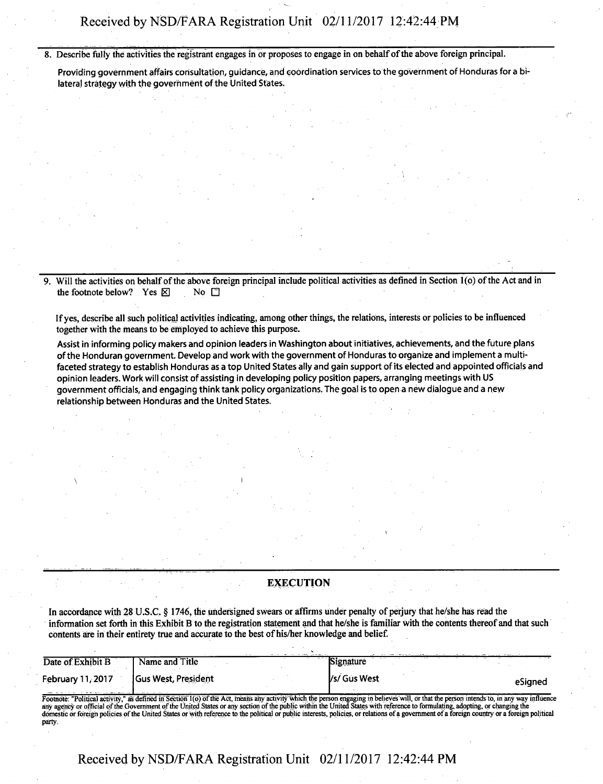# **Received by NSD/FARA Registration Unit 02/11/2017 12:42:44 PM**

**8. Describe fully the activities the registrant engages in or proposes to engage in on behalf of the above foreign principal.** 

Providing government affairs consultation, guidance, and coordination services to the government of Honduras for a bilateral strategy with the government of the United States.

**9.** Will the activities on behalf of the above foreign principal include political activities as defined in Section 1(o) of the Act and in **the footnote below?** Yes  $\boxtimes$  No  $\Box$ 

**If yes, describe all such political activities indicating, among other things, the relations, interests or policies to be influenced together with the means to be employed to achieve this purpose.** 

Assist in informing policy makers and opinion leaders in Washington about initiatives, achievements, and the future plans ofthe Honduran government. Develop and work with the government of Honduras to organize and implement a multifaceted strategy to establish Honduras as a top United States ally and gain support of its elected and appointed officials and opinion leaders. Work will consist of assisting in developing policy position papers, arranging meetings with US government officials, and engaging think tank policy organizations. The goal is to open a new dialogue and a new relationship between Honduras and the United States.

#### **EXECUTION**

**In accordance with 28 U.S.C. § 1746, the undersigned swears or affirms under penalty of perjury that he/she has read the infonnation set forth in this Exhibit B to the registration statement and that he/she is familiar with the contents thereof and that such contents are in their entirety true and accurate to the best of his/her knowledge and belief.** 

| Date of Exhibit B | Name and Title             |              |         |
|-------------------|----------------------------|--------------|---------|
| February 11, 2017 | <b>Gus West, President</b> | /s/ Gus West | eSianeo |
|                   |                            |              |         |

Footnote: "Political activity," as defined in Section 1(0) of the Act, means any activity which the person engaging in believes will, or that the person intends to, in any way influence any agency or official of the Government of the United States or any section of the public within the United States with reference to formulating, adopting, or changing the domestic or foreign policies of the United States or "with reference to the political or public interests, policies, or relations of a government ofa foreign country or a foreign political party-

**Received by NSD/FARA Registration Unit 02/11/2017 12:42:44 PM**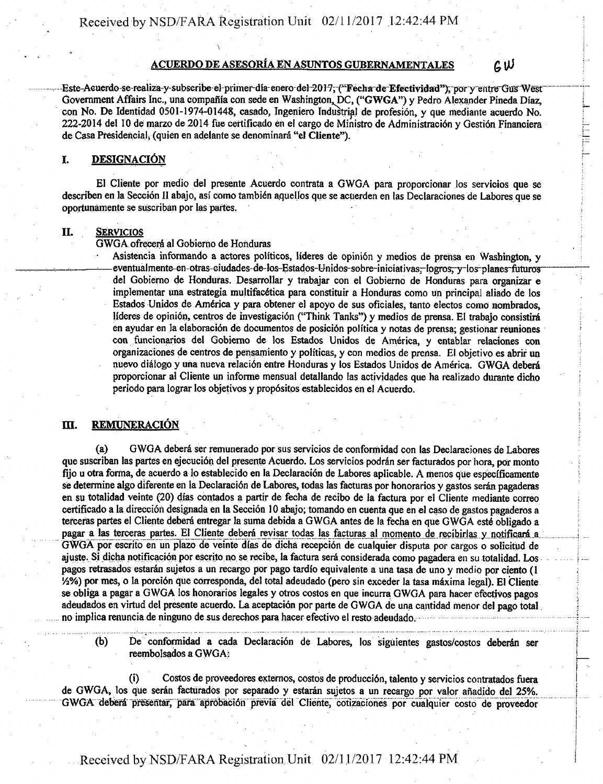# *ACUERDO DE ASESORIA EN ASUNTOS GUBERNAMENTALES £,\)J*

Este-Aeuerdo-se-realiza-y-subseribe el-primer-día enero-del-2017, ("Fecha de Efectividad"), por y entre Gus West Government Affairs Inc., una compañía con sede en Washington, DC, ("GWGA") y Pedro Alexander Pineda Díaz, con No. De Identidad 0501-1974-01448, casado, Ingeniero Industrial de profesion, y que mediante acuerdo No. 222-2014 del 10 de marzo de 2014 fue certificado en el cargo de Ministro de Administracion y Gestion Financiers de Casa Presidencial, (quien en adelante se denominara "el Cliente").

#### I. DESIGNACIÓN

El Cliente por medio del presente Acuerdo contrata a GWGA para proporcionar los servicios que se describen en la Seccion II abajo, asi como tambien aquellos que se acuerden en las Declaraciones de Labores que se oportunamente se suscriban por las partes.

#### II. SERVICIOS

GWGA ofrecera al Gobierno de Honduras

Asistencia informando a actores políticos, líderes de opinión y medios de prensa en Washington, y eventualmente-en-otras-eiudades-de-los-Estados-Unidos-sobre-iniciativas-logros, y-los-planes futuros del Gobierno de Honduras. Desarrollar y trabajar con el Gobierno de Honduras para organizar e implementar una estrategia multifacetica para constituir a Honduras como un principal aliado de los Estados Unidos de America y para obtener el apdyo de sus oficiales, tanto electos como nombrados, líderes de opinión, centros de investigación ("Think Tanks") y medios de prensa. El trabajo consistirá en ayudar en la elaboración de documentos de posición política y notas de prensa; gestionar reuniones con funcionarios del Gobierno de los Estados Unidos de America, y entablar relaciones con organizaciones de centros de pensamiento y poh'ticas, y con medios de prensa. El objetivo es abrir un nuevo diálogo y una nueva relación entre Honduras y los Estados Unidos de América. GWGA deberá proporcionar al Cliente un informe mensual detallando las actividades que ha realizado durante dicho periodo para lograr Ios objetivos y prop6sitos establecidos en el Acuerdo.

### **III. REMUNERACIÓN**

(a) GWGA debera ser remunerado por sus servicios de conformidad con las Declaraciones de Labores que suscriban las partes en ejecuci6n del presente Acuerdo. Los servicios podran ser facturados por hora, por monto fiio u otra forma, de acuerdo a lo establecido en la Declaración de Labores aplicable. A menos que específicamente se determine algo diferente en la Declaración de Labores, todas las facturas por honorarios y gastos serán pagaderas en su totalidad veinte (20) dias contados a partir de fecha de recibo de la factura por el Cliente mediante correo certificado a la direction designada en la Seccion 10 abajo; tomando en cuenta que en el caso de gastos pagaderos a tereeras partes el Cliente debera entregar la suma debida a GWGA antes de la fecha en que GWGA este obligado a pagar a las terceras partes. El Cliente deberá revisar todas las facturas al momento de recibirlas y notificará a GWGA por escrito en un piazo de veinte dias de dicha recepcion de cualquier disputa por cargos o solicitud de ajuste. Si dicha notificación por escrito no se recibe, la factura será considerada como pagadera en su totalidad. Los pagos retrasados estaran sujetos a un recargo por pago tardio equivalente a una tasa de uno y medio por ciento (1 1/2%) por mes, o la porción que corresponda, del total adeudado (pero sin exceder la tasa máxima legal). El Cliente se obliga a pagar a GWGA los honorarios legales y otros costos en que incurra GWGA para hacer efectivos pagos adeudados en virtud del presente acuerdo. La aceptación por parte de GWGA de una cantidad menor del pago total no implica renuncia de ninguno de sus derechos para hacer efectivo el resto adeudado.

(b) De conformidad a cada Declaraci6n de Labores, los siguientes gastos/costos deberan ser reembolsados a GWGA:

(i) Costos de proveedores externos, costos de prdducci6n, talento y servicios contratados fuera de GWGA, los que serán facturados por separado y estarán sujetos a un recargo por valor añadido del 25%. GWGA deberá presentar, para aprobación previa del Cliente, cotizaciones por cualquier costo de proveedor

# Received by NSD/FARA Registration. Unit 02/11/2017 12:42:44 PM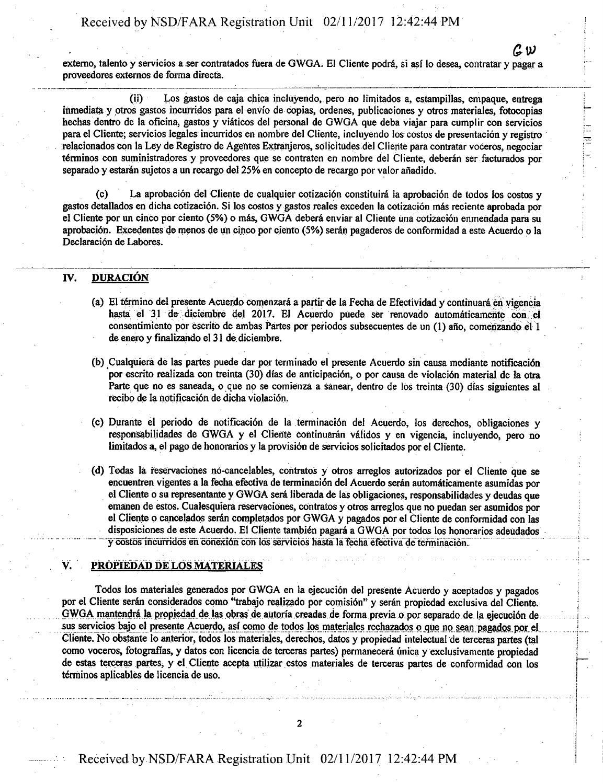Received by NSD/FARA Registration Unit 02/11/2017 12:42:44 PM

externo, talento y servicios a ser contratados fuera de GWGA. El Cliente podrá, si así lo desea, contratar y pagar a proveedores externos de forma directs.

(ii) Los gastos de caja chjca incluyendo, pero no limitados a, estampillas, empaque, entrega inmediata y otros gastos incurridos para el envío de copias, ordenes, publicaciones y otros materiales, fotocopias hechas dentro de la oficina, gastos y viaticos del personal de GWGA que deba viajar para cumplir con servicios para el Cliente; servicios legales incurridos en nombre del Cliente, incluyendo los costos de presentación y registro relacionados eon la Ley de Registro de Agentes Extranjeros, solicitudes del Cliente para contratar voceros, negociar terminos con suministradores y proveedores que se contraten en nombre del Cliente, deberan ser facturados por separado y estaran sujetos a un recargo del 25% en concepto de recargo por valor afiadido.

(c) La aprobacion del Cliente de cualquier cotizacion constituira la aprobaci6n de todos los costos y gastos detallados en dicha cotizacion. Si los costos y gastos reales exceden la cotizacion mas reciente aprobada por el Cliente por un cinco por ciento (5%) o mas, GWGA debera enviar al Cliente una cotizacion enmendada para su aprobacidn. Excedentes de menos de un cinco por ciento (5%) seran pagaderos de conformidad a este Acuerdo o la Declaración de Labores.

## IV. DURACIÓN

- (a) El termino del presente Acuerdo comenzara a partir de la Fecha de Efectividad y continuara en vigencia hasta el 31 de diciembre del 2017. El Acuerdo puede ser renovado automaticamehte con ei consentimiento por escrito de ambas Partes por periodos subsecuentes de un (1) año, comenzando el 1 de enero y finalizando el 31 de diciembre.
- (b) Cualquiera de las partes puede dar por terminado el presente Acuerdo sin causa mediante notificaci6n por escrito realizada con treinta (30) días de anticipación, o por causa de violación material de la otra Parte que no es saneada, o que no se comienza a sanear, dentro de los treinta (30) días siguientes al recibo de la notificación de dicha violación.
- (c) Durante el periodo de notificaci6n de la terminaci6n del Acuerdo, los derechos, obligaciones y responsabilidades de GWGA y el Cliente continuarán válidos y en vigencia, incluyendo, pero no limitados a, el pago de honorarios y la provisión de servicios solicitados por el Cliente.
- (d) Todas la reservaciones no-cancelables, contratos y otros arreglos autorizados por el Cliente que se encuentren vigentes a la fecha efectiva de terminaci6n del Acuerdo seran automaticamente asumidas por el Cliente o su representante y GWGA sera liberada de las obligaciones, responsabilidades y deudas que emanen de estos. Cualesquiera reservaciones, contratos y otros arreglos que no puedan ser asumidos por el Cliente o cancelados seran completados por GWGA y pagados por el Cliente de conformidad con las disposiciones de este Acuerdo. El Cliente tambien pagara a GWGA por todos los honorarios adeudados y costos incurridos en conexión con los servicios hasta la fecha efectiva de terminación.

#### PROPIEDAD DE LOS MATERIALES

Todos los materiales generados por GWGA en la ejecución del presente Acuerdo y aceptados y pagados por el Cliente serán considerados como "trabajo realizado por comisión" y serán propiedad exclusiva del Cliente. GWGA mantendrá la propiedad de las obras de autoría creadas de forma previa o por separado de la ejecución de sus servicios bajo el presente Acuerdo, así como de todos los materiales rechazados o que no sean pagados por el Cliente. No obstante lo anterior, todos los materiales, derechos, datos y propiedad intelectual de tereeras partes (tal como voceros, fotografías, y datos con licencia de terceras partes) permanecerá única y exclusivamente propiedad de estas tereeras partes, y el Cliente acepta utilizar estos materiales de tereeras partes de conformidad con los terminos aplicables de licencia de uso.

*asp*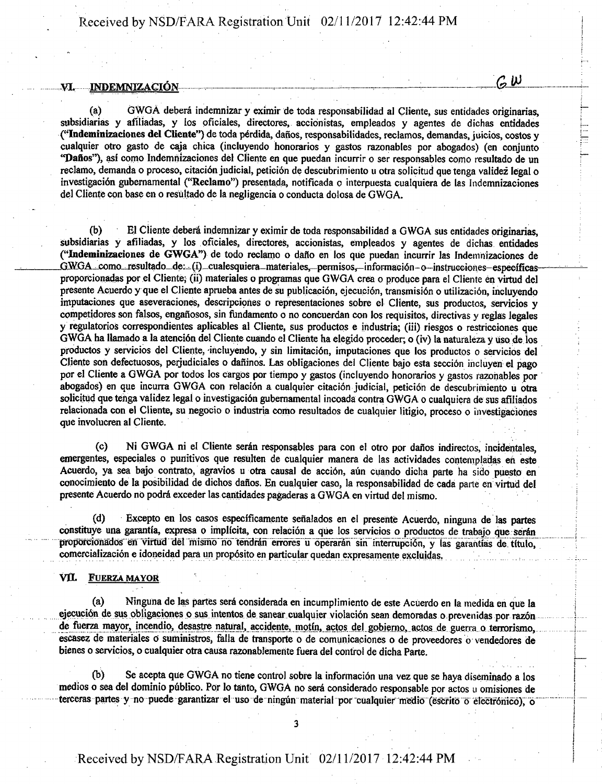# $\mathcal{C}$   $\mathcal{W}$  indemnización  $\mathcal{C}$  w

(a) GWGA debera indemnizar y eximir de toda responsabilidad al Cliente, sus entidades originarias, subsidiarias y afiliadas, y los pficiales, direetores, accionistas, empleados y agentes de dichas entidades ("Indeminizaciones del Cliente") de toda perdida, dafios, responsabilidades, reclamos, demandas, juicios, costos y cualquier otro gasto de caja chica (incluyendo honorarios y gastos razonables por abogados) (en conjunto "Dafios"), asi como Indemnizaciones del Cliente en que puedan incurrir o ser responsables como resultado de un reclamo, demanda o proceso, citación judicial, petición de descubrimiento u otra solicitud que tenga validez legal o investigación gubernamental ("Reclamo") presentada, notificada o interpuesta cualquiera de las Indemnizaciones del Cliente con base en o resultado de la negligencia o conducta dolosa de GWGA.

(b) El Cliente debera indemnizar y eximir de toda responsabilidad a GWGA sus entidades originarias, subsidiarias y afiliadas, y los oficiales, direetores, accionistas, empleados y agentes de dichas entidades ("Indeminizaciones de GWGA") de todo reclamo o daflo en los que puedan incurrir las Indemnizaciones de GWGA como resultado de: (i) cualesquiera materiales, permisos, información-o—instrucciones-específicasproporcionadas por el Cliente; (ii) materiales o programas que GWGA crea o produce para el Cliente en virtud del presente Acuerdo y que el Cliente aprueba antes de su publicación, ejecución, transmisión o utilización, incluyendo imputaciones que aseveraciones, descripciones o representaciones sobre el Cliente, sus productos, servicios y competidores son falsos, engaflosos, sin fundamento o no concuerdan con los requisites, directivas y reglas legales y regulatorios correspondientes aplicables al Cliente, sus productos e industria; (iii) riesgos o restricciones que GWGA ha Hamado a la atenei6n del Cliente cuando el Cliente ha elegido proceder; o (iv) la naturaleza y uso de los productos y servicios del Cliente, incluyendo, y sin limitación, imputaciones que los productos o servicios del Cliente son defectuosos, perjudiciales o dañinos. Las obligaciones del Cliente bajo esta sección incluyen el pago por el Cliente a GWGA por todos los cargos por tiempo y gastos (incluyendo honorarios y gastos razonables por abogados) en que incurra GWGA con relación a cualquier citación judicial, petición de descubrimiento u otra solicitud que tenga validez legal o investigación gubernamental incoada contra GWGA o cualquiera de sus afiliados relacionada con el Cliente, su negocio o industria como resultados de cualquier litigio, proceso o investigaciones que involucren al Cliente.

(c) Ni GWGA ni el Cliente seran responsables para con el otro por dafios indirectos, incidentales, emergentes, especiales o punitivos que resulten de cualquier manera de las actividades contempladas en este Acuerdo, ya sea bajo contrato, agravios u otra causal de acción, aún cuando dicha parte ha sido puesto en conocimiento de la posibilidad de dichos dafios. En cualquier caso, la responsabilidad de cada parte en virtud del presente Acuerdo no podrá exceder las cantidades pagaderas a GWGA en virtud del mismo.

(d) Excepto en los casos especificamente sefialados en el presente Acuerdo, ninguna de las partes constituye una garantía, expresa o implícita, con relación a que los servicios o productos de trabajo que serán proporcionados en virtud del mismo no tendrán errores u operarán sin interrupción, y las garantías de título, comercializacion e idoneidad para un propdsito en particular quedan expresamenie excluidas.

#### VII. **FUERZA MAYOR** VAL FUERZA MAYOR ETA

(a) Ninguna de las partes sera considerada en incumplimiento de este Acuerdo en la medida en que la ejecución de sus obligaciones o sus intentos de sanear cualquier violación sean demoradas o prevenidas por razón<br>de fuerza mayor, incendio, desastre natural, accidente, motín, actos del gobierno, actos de guerra o terroris escasez de materiales 0 suministros, falla de transporte o de comunicaciones o de proveedores o vendedores de bienes o servicios, o cualquier otra causa razonablemente fuera del control de dicha Parte.

(b) Se acepta que GWGA no tiene control sobre la tnformacidn una vez que se haya diseminado a los medios o sea del dominio público. Por lo tanto, GWGA no será considerado responsable por actos u omisiones de terceras partes y no puede garantizar el uso de ningún material por cualquier medio (escrito o electrónico), o

**3**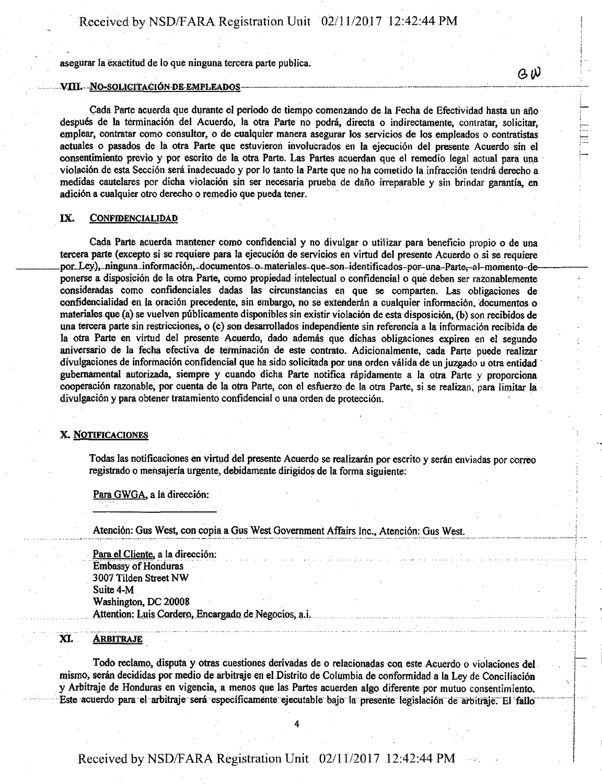asegurar la exactitud de lo que ninguna tercera parte publica.

#### *VUL -N0-S0LIGITAG16N D& EMPLEADOS — —.*

Cada Parte acuerda que durante el periodo de tiempo comenzando de la Fecha de Efectividad hasta un año despues de la terminaci6n del Acuerdo, la otra Parte no 'podra, directa o indirectamente, contratar, solicitar, emplear, contratar como consultor, o de cualquier manera asegurar Ios servicios de los empleados o contratistas actuales o pasados de la otra Parte que estuvieron involucrados en la ejecución del presente Acuerdo sin el consentimiento previo y por escrito de la otra Parte. Las Partes acuerdan que el remedio legal actual para una violación de esta Sección será inadecuado y por lo tanto la Parte que no ha cometido la infracción tendrá derecho a medidas cautelares por dicha violación sin ser necesaria prueba de daño irreparable y sin brindar garantía, en adici6n a cualquier otro derecho o remedio que pueda tener.

#### IX. CONFIDENCIALIDAD

Cada Parte acuerda mantener como confidencial y no divulgar o utilizar para beneficio propio o de una tercera parte (excepto si se requiere para la ejecución de servicios en virtud del presente Acuerdo o si se requiere por Ley), ninguna\_información, documentos-o-materiales-que-son-identificados-por-una-Parte, al-momento-deponerse a disposición de la otra Parte, como propiedad intelectual o confidencial o que deben ser razonablemente consideradas como confidenciales dadas las circunstancias en que se comparten. Las obligaciones de confideneialidad en la oracion precedente, sin embargo, no se extenderan a cualquier informaci6n, documentos o materiales que (a) se vuelven públicamente disponibles sin existir violación de esta disposición, (b) son recibidos de una tercera parte sin restricciones, o (c) son desarrollados independiente sin referencia a la informacion recibida de la otra Parte en virtud del presente Acuerdo, dado además que dichas obligaciones expiren en el segundo aniversario de la fecha efectiva de terminación de este contrato. Adicionalmente, cada Parte puede realizar divulgaciones de informacion confidencial que ha sido solicitada por una orden valida de un juzgado u otra entidad gubernamental autorizada, siempre y cuando dicha Parte notifica rapidamente a la otra Parte y proporciona cooperación razonable, por cuenta de la otra Parte, con el esfuerzo de la otra Parte, si se realizan, para limitar la divulgación y para obtener tratamiento confidencial o una orden de protección.

#### X. NOTIFICACIONES

Todas las notificaciones en virtud del presente Acuerdo se realizaran por escrito y seran enviadas por correo registrado o mensajerfa urgente, debidamente dirigidos de la forma siguiente:

Para GWGA, a la dirección:

Atenci6n: Gus West, con copia a Gus West Government Affairs Inc., Atencion: Gus West.

Para el Cliente, a la dirección: Embassy of Honduras 3007 Tilden Street NW Suite 4-M Washington, DC 20008 Attention: Luis Cordero, Encargado de Negocios, a.i.

#### XI. **ARBITRAJE**

Todo reclamo, disputa y otras cuestiones derivadas de o relacionadas con este Acuerdo o violaciones del mismo, serán decididas por medio de arbitraje en el Distrito de Columbia de conformidad a la Ley de Conciliación y Arbitraje de Honduras en vigencia, a menos que las Partes acuerden algo diferente por mutuo consentimiento. Este acuerdo para el arbitraje será específicamente ejecutable bajo la presente legislación de arbitraje. El fallo

**4** 

# Received by NSD/FARA Registration Unit 02/11/2017 12:42:44 PM: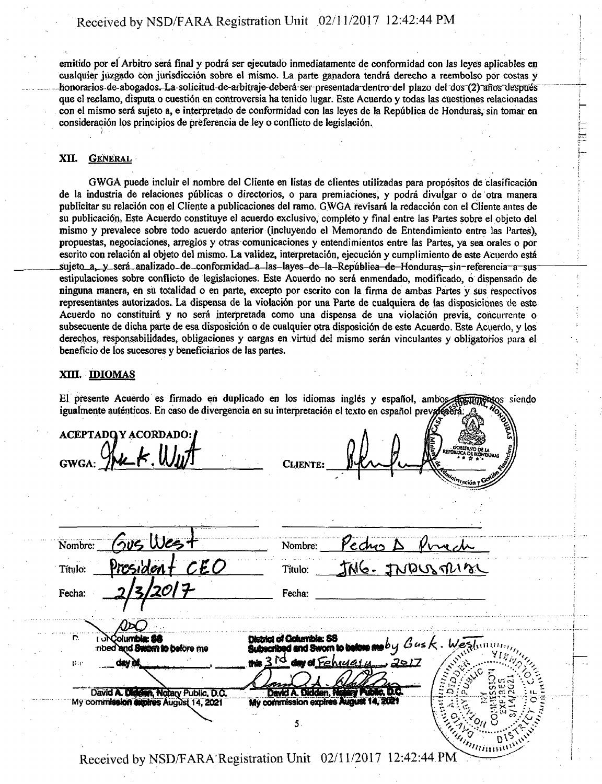emitido por el Arbitro sera final y podra ser ejecutado inmediatamente de conformidad con las leyes aplicables en cualquier juzgado con jurisdicción sobre el mismo. La parte ganadora tendrá derecho a reembolso por costas y honorarios-de-abogados.- La-solicitud-de-arbitraje-deberá-ser-presentada-dentro del plazo del dos (2) años después que el reclamo, dispute o cuestion en controversia ha tenido lugar. Este Acuerdo y todas las cuestiones relacionadas con el mismo será sujeto a, e interpretado de conformidad con las leyes de la República de Honduras, sin tomar en consideración los principios de preferencia de ley o conflicto de legislación.

#### XII. GENERAL

GWGA puede incluir el nombre del Cliente en listas de clientes utilizadas para propositos de clasificacidn de la industria de relaciones publicas o directorios, o para premiaciones, y podra divuigar o de otra manera publicitar su relación con el Cliente a publicaciones del ramo. GWGA revisará la redacción con el Cliente antes de su publicación. Este Acuerdo constituye el acuerdo exclusivo, completo y final entre las Partes sobre el objeto del mismo y prevalece sobre todo acuerdo anterior (incluyendo el Memorando de Entendimiento entre las Partes), propuestas, negociaciones, arreglos y otras comunicaciones y entendimientos entre las Partes, ya sea orales o por escrito con relación al objeto del mismo. La validez, interpretación, ejecución y cumplimiento de este Acuerdo está sujeto a, y será analizado de conformidad a las layes de la República de Honduras, sin referencia a sus estipulaciones sobre conflicto de legislaciones. Este Acuerdo no sera enmendado, modificado, 6 dispensado de ninguna manera, en su totalidad o en parte, excepto por escrito con la firma de ambas Partes y sus respectivos representantes autorizados. La dispensa de la violación por una Parte de cualquiera de las disposiciones de este Acuerdo no constituirá y no será interpretada como una dispensa de una violación previa, concurrente o subsecuente de dicha parte de esa disposición o de cualquier otra disposición de este Acuerdo. Este Acuerdo, y los derechos, responsabilidades, obligaciones y cargas en virtud del mismo seran vinculantes y obligatorios para el beneficio de los sucesores y beneficiarios de las partes.

#### XIII. IDIOMAS

El presente Acuerdo es firmado en duplicado en los idiomas inglés y español, ambos afrattarenses siendo igualmente auténticos. En caso de divergencia en su interpretación el texto en español preva

 $ACEPTADO Y ACORDADO:$  $GWOA: Y$ **«2**  Sus Wes  $Number:$  Pectus  $\Delta$ Nombre: CEO  $T$ itulo:  $T$ M $6$ .  $T$ N $DUS$  $T1$ Tftulo: Fecha: Fecha: **olumble: 88** District of Columbia: SS<br>Subscribed and Sworn to before ma  $b$  y  $\,G$ and Swam to before me **rib**  २ प्रि 2917ء ر **Hi**  red liv ( David A.D **A, Notary Public, D.C •14.2021** My cornmis3ion expires J **114. SCSI**  £3. ;  $\alpha$  , we call  $\alpha$  in My commission auphos August 14, 2021 **-;• o. •<' ." — -J~ X —' ; .**  5 **"'Hniiitt <sup>1</sup> '** 

Received by NSD/FARA'Registration Unit 02/11/2017 12:42:44 PM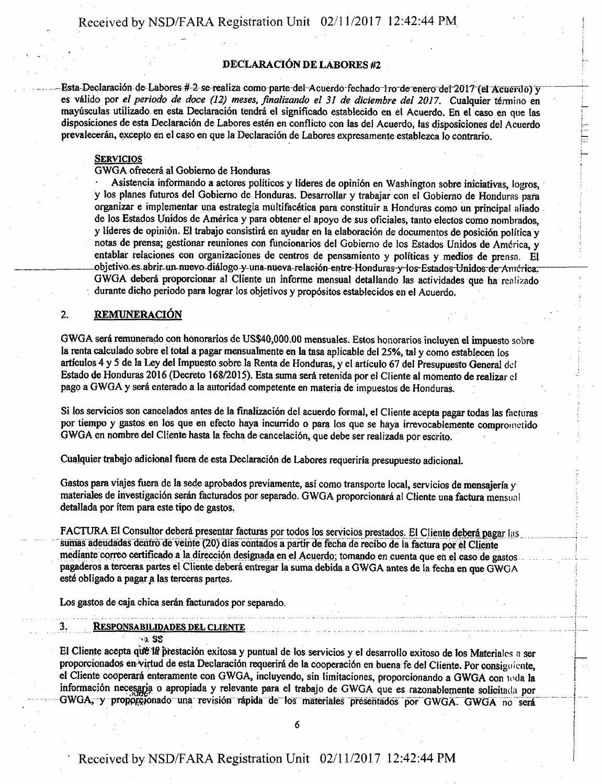### DECLARACIÓN DE LABORES #2

Esta Declaración de Labores # 2 se realiza como parte del Acuerdo fechado lro de enero del 2017 (el Acuerdo) y es válido por el periodo de doce (12) meses, finalizando el 31 de diciembre del 2017. Cualquier término en mayúsculas utilizado en esta Declaración tendrá el significado establecido en el Acuerdo. En el caso en que las disposiciones de esta Declaración de Labores estén en conflicto con las del Acuerdo, las disposiciones del Acuerdo prevalecerán, excepto en el caso en que la Declaración de Labores expresamente establezca lo contrario.

#### **SERVICIOS**

GWGA ofrecera al Gobierno de Honduras

• Asistencia informando a actores politicos y lideres de opini6n en Washington sobre iniciativas, logros, y los planes futuros del Gobierno de Honduras. Desarrollar y trabajar con el Gobierno de Honduras para organizar e implementar una estrategia multifacetica para constituir a Honduras como un principal aliado de los Estados Unidos de America y para obtener el apoyo de sus oficiales, tanto electos como nombrados, y líderes de opinión. El trabajo consistirá en ayudar en la elaboración de documentos de posición política y notas de prensa; gestionar reuniones con funcionarios del Gobierno de los Estados Unidos de America, y entablar relaciones con organizaciones de centros de pensamiento y políticas y medios de prensa. El obietivo-es-abrir-un-nuevo-diálogo-y-una-nueva-relación-entre-Honduras-y-los-Estados-Unidos-de-América. GWGA debera proporcionar al Cliente un ihforme mensual detallando las actividades que ha realizado durante dicho periodo para lograr los objetivos y propósitos establecidos en el Acuerdo.

#### 2. REMUNERACION

GWGA sera remunerado con honorarios de US\$40,000.00 mensuales. Estos honorarios inciuyen el impuesto sobre la renta calculado sobre el total a pagar mensualmente en la tasa aplicable del 25%, tal y como establecen Ios articulos 4 y 5 de la Ley del Impuesto sobre la Renta de Honduras, y el articulo 67 del Presupuesto General del Estado de Honduras 2016 (Decreto 168/2015). Esta suma será retenida por el Cliente al momento de realizar el pago a GWGA y será enterado a la autoridad competente en materia de impuestos de Honduras.

Si los servicios son cancelados antes de la finalizacion del acuerdo formal, el Cliente acepta pagar todas las facturas por tiempo y gastos en los que en efecto haya incurrido o para los que se haya irrevocablemente comprometido GWGA en nombre del Cliente hasta la fecha de cancelación, que debe ser realizada por escrito.

Cualquier trabajo adicional fuera de esta Declaraci6n de Labores requeriria presupuesto adicional.

Gastos para viajes fuera de la sede aprobados previamente, así como transporte local, servicios de mensajería y materiales de investigación serán facturados por separado. GWGA proporcionará al Cliente una factura mensual detallada por item para este tipo de gastos,

FACTURA El Consultor deberá presentar facturas por todos los servicios prestados. El Cliente deberá pagar las sumas adeudadas dentro de veinte (20) días contados a partir de fecha de recibo de la factura por el Cliente mediante correo certificado a la dirección designada en el Acuerdo; tomando en cuenta que en el caso de gastos pagaderos a terceras partes el Cliente deberá entregar la suma debida a GWGA antes de la fecha en que GWGA esté obligado a pagar a las terceras partes.

Los gastos de caja chica serán facturados por separado.

#### 3. RESPONSABILIDADES DEL CLIENTE

**••a SS** 

El Cliente acepta que la prestación exitosa y puntual de los servicios y el desarrollo exitoso de los Materiales a ser proporcionados en virtud de esta Declaración requerirá de la cooperación en buena fe del Cliente. Por consiguiente, el Cliente cooperará enteramente con GWGA, incluyendo, sin limitaciones, proporcionando a GWGA con nula la información necesarja o apropiada y relevante para el trabajo de GWGA que es razonablemente solicitada por GWGA, y proporcionado una revisión rápida de los materiales presentados por GWGA. GWGA no será

6